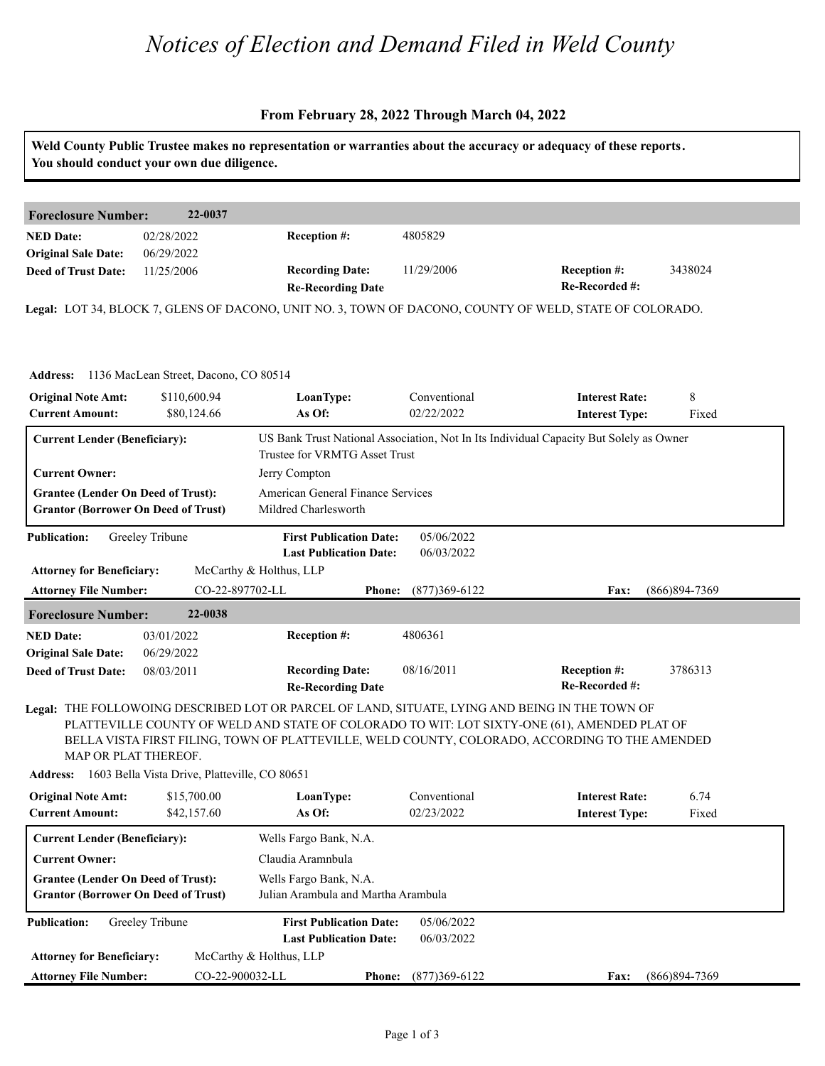# *Notices of Election and Demand Filed in Weld County*

### **From February 28, 2022 Through March 04, 2022**

|                                                                                         | You should conduct your own due diligence.    |                                                                                                             |                                               | Weld County Public Trustee makes no representation or warranties about the accuracy or adequacy of these reports.                                                                              |                   |
|-----------------------------------------------------------------------------------------|-----------------------------------------------|-------------------------------------------------------------------------------------------------------------|-----------------------------------------------|------------------------------------------------------------------------------------------------------------------------------------------------------------------------------------------------|-------------------|
| <b>Foreclosure Number:</b>                                                              | 22-0037                                       |                                                                                                             |                                               |                                                                                                                                                                                                |                   |
| <b>NED Date:</b><br><b>Original Sale Date:</b>                                          | 02/28/2022<br>06/29/2022                      | Reception #:                                                                                                | 4805829                                       |                                                                                                                                                                                                |                   |
| <b>Deed of Trust Date:</b>                                                              | 11/25/2006                                    | <b>Recording Date:</b><br><b>Re-Recording Date</b>                                                          | 11/29/2006                                    | <b>Reception #:</b><br>Re-Recorded #:                                                                                                                                                          | 3438024           |
|                                                                                         |                                               |                                                                                                             |                                               | Legal: LOT 34, BLOCK 7, GLENS OF DACONO, UNIT NO. 3, TOWN OF DACONO, COUNTY OF WELD, STATE OF COLORADO.                                                                                        |                   |
| <b>Address:</b>                                                                         | 1136 MacLean Street, Dacono, CO 80514         |                                                                                                             |                                               |                                                                                                                                                                                                |                   |
| <b>Original Note Amt:</b><br><b>Current Amount:</b>                                     | \$110,600.94<br>\$80,124.66                   | LoanType:<br>As Of:                                                                                         | Conventional<br>02/22/2022                    | <b>Interest Rate:</b><br><b>Interest Type:</b>                                                                                                                                                 | 8<br>Fixed        |
| <b>Current Lender (Beneficiary):</b>                                                    |                                               | Trustee for VRMTG Asset Trust                                                                               |                                               | US Bank Trust National Association, Not In Its Individual Capacity But Solely as Owner                                                                                                         |                   |
| <b>Current Owner:</b>                                                                   |                                               | Jerry Compton                                                                                               |                                               |                                                                                                                                                                                                |                   |
| <b>Grantee (Lender On Deed of Trust):</b><br><b>Grantor (Borrower On Deed of Trust)</b> |                                               | American General Finance Services<br>Mildred Charlesworth                                                   |                                               |                                                                                                                                                                                                |                   |
| <b>Publication:</b><br><b>Attorney for Beneficiary:</b><br><b>Attorney File Number:</b> | Greeley Tribune<br>CO-22-897702-LL            | <b>First Publication Date:</b><br><b>Last Publication Date:</b><br>McCarthy & Holthus, LLP<br><b>Phone:</b> | 05/06/2022<br>06/03/2022<br>$(877)369 - 6122$ | Fax:                                                                                                                                                                                           | $(866)894 - 7369$ |
| <b>Foreclosure Number:</b>                                                              | 22-0038                                       |                                                                                                             |                                               |                                                                                                                                                                                                |                   |
| <b>NED Date:</b><br><b>Original Sale Date:</b>                                          | 03/01/2022<br>06/29/2022                      | Reception #:                                                                                                | 4806361                                       |                                                                                                                                                                                                |                   |
| <b>Deed of Trust Date:</b>                                                              | 08/03/2011                                    | <b>Recording Date:</b><br><b>Re-Recording Date</b>                                                          | 08/16/2011                                    | <b>Reception #:</b><br>Re-Recorded #:                                                                                                                                                          | 3786313           |
| MAP OR PLAT THEREOF.                                                                    |                                               | Legal: THE FOLLOWOING DESCRIBED LOT OR PARCEL OF LAND, SITUATE, LYING AND BEING IN THE TOWN OF              |                                               | PLATTEVILLE COUNTY OF WELD AND STATE OF COLORADO TO WIT: LOT SIXTY-ONE (61), AMENDED PLAT OF<br>BELLA VISTA FIRST FILING, TOWN OF PLATTEVILLE, WELD COUNTY, COLORADO, ACCORDING TO THE AMENDED |                   |
| <b>Address:</b>                                                                         | 1603 Bella Vista Drive, Platteville, CO 80651 |                                                                                                             |                                               |                                                                                                                                                                                                |                   |
| <b>Original Note Amt:</b><br><b>Current Amount:</b>                                     | \$15,700.00<br>\$42,157.60                    | LoanType:<br>As Of:                                                                                         | Conventional<br>02/23/2022                    | <b>Interest Rate:</b><br><b>Interest Type:</b>                                                                                                                                                 | 6.74<br>Fixed     |
| <b>Current Lender (Beneficiary):</b>                                                    |                                               | Wells Fargo Bank, N.A.                                                                                      |                                               |                                                                                                                                                                                                |                   |
| <b>Current Owner:</b>                                                                   |                                               | Claudia Aramnbula                                                                                           |                                               |                                                                                                                                                                                                |                   |
| <b>Grantee (Lender On Deed of Trust):</b><br><b>Grantor (Borrower On Deed of Trust)</b> |                                               | Wells Fargo Bank, N.A.<br>Julian Arambula and Martha Arambula                                               |                                               |                                                                                                                                                                                                |                   |
| <b>Publication:</b>                                                                     | Greeley Tribune                               | <b>First Publication Date:</b><br><b>Last Publication Date:</b>                                             | 05/06/2022<br>06/03/2022                      |                                                                                                                                                                                                |                   |
| <b>Attorney for Beneficiary:</b>                                                        |                                               | McCarthy & Holthus, LLP                                                                                     |                                               |                                                                                                                                                                                                |                   |
| <b>Attorney File Number:</b>                                                            | CO-22-900032-LL                               |                                                                                                             | Phone: (877)369-6122                          | Fax:                                                                                                                                                                                           | $(866)894-7369$   |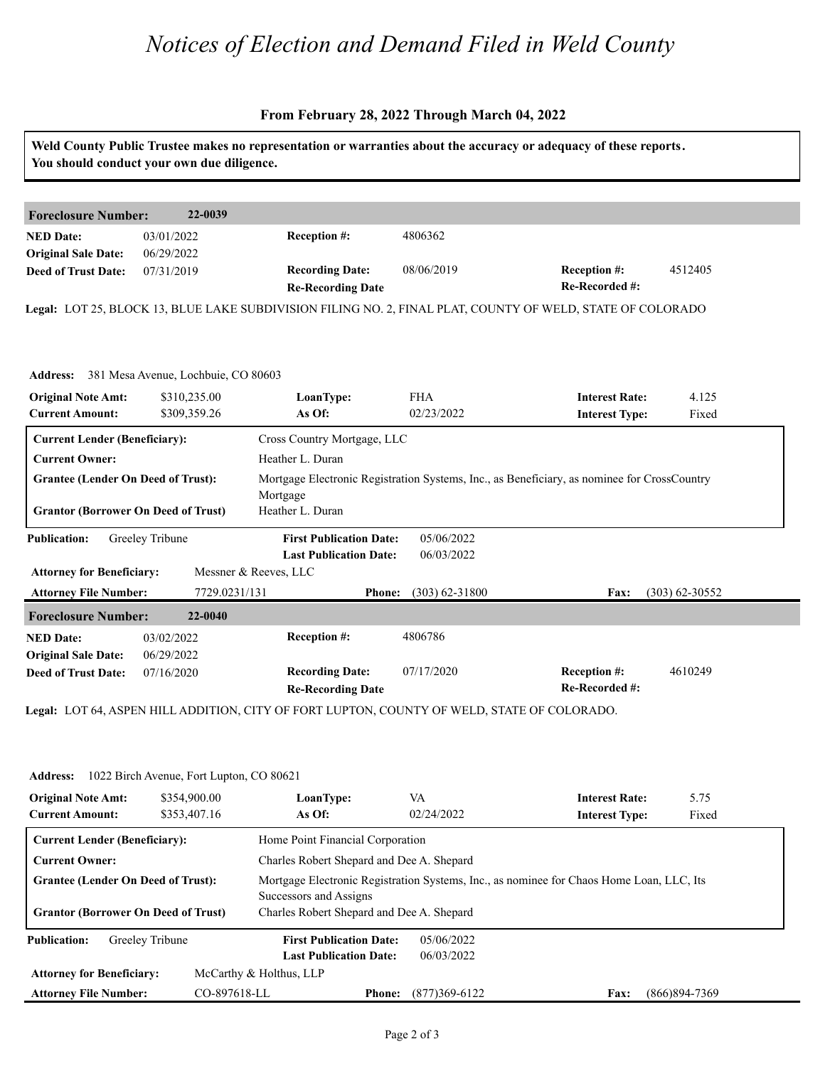# *Notices of Election and Demand Filed in Weld County*

## **From February 28, 2022 Through March 04, 2022**

|                                            | You should conduct your own due diligence.   |                                                    |                    |                                                                                                            |                  |
|--------------------------------------------|----------------------------------------------|----------------------------------------------------|--------------------|------------------------------------------------------------------------------------------------------------|------------------|
| <b>Foreclosure Number:</b>                 | 22-0039                                      |                                                    |                    |                                                                                                            |                  |
| <b>NED Date:</b>                           | 03/01/2022                                   | Reception #:                                       | 4806362            |                                                                                                            |                  |
| <b>Original Sale Date:</b>                 | 06/29/2022                                   |                                                    |                    |                                                                                                            |                  |
| <b>Deed of Trust Date:</b>                 | 07/31/2019                                   | <b>Recording Date:</b><br><b>Re-Recording Date</b> | 08/06/2019         | Reception #:<br>Re-Recorded #:                                                                             | 4512405          |
|                                            |                                              |                                                    |                    | Legal: LOT 25, BLOCK 13, BLUE LAKE SUBDIVISION FILING NO. 2, FINAL PLAT, COUNTY OF WELD, STATE OF COLORADO |                  |
|                                            |                                              |                                                    |                    |                                                                                                            |                  |
|                                            |                                              |                                                    |                    |                                                                                                            |                  |
|                                            | Address: 381 Mesa Avenue, Lochbuie, CO 80603 |                                                    |                    |                                                                                                            |                  |
| <b>Original Note Amt:</b>                  | \$310,235.00                                 | LoanType:                                          | <b>FHA</b>         | <b>Interest Rate:</b>                                                                                      | 4.125            |
| <b>Current Amount:</b>                     | \$309,359.26                                 | As Of:                                             | 02/23/2022         | <b>Interest Type:</b>                                                                                      | Fixed            |
| <b>Current Lender (Beneficiary):</b>       |                                              | Cross Country Mortgage, LLC                        |                    |                                                                                                            |                  |
| <b>Current Owner:</b>                      |                                              | Heather L. Duran                                   |                    |                                                                                                            |                  |
| <b>Grantee (Lender On Deed of Trust):</b>  |                                              |                                                    |                    | Mortgage Electronic Registration Systems, Inc., as Beneficiary, as nominee for CrossCountry                |                  |
|                                            |                                              | Mortgage                                           |                    |                                                                                                            |                  |
| <b>Grantor (Borrower On Deed of Trust)</b> |                                              | Heather L. Duran                                   |                    |                                                                                                            |                  |
| <b>Publication:</b>                        | Greeley Tribune                              | <b>First Publication Date:</b>                     | 05/06/2022         |                                                                                                            |                  |
|                                            |                                              | <b>Last Publication Date:</b>                      | 06/03/2022         |                                                                                                            |                  |
| <b>Attorney for Beneficiary:</b>           |                                              | Messner & Reeves, LLC                              |                    |                                                                                                            |                  |
| <b>Attorney File Number:</b>               | 7729.0231/131                                | <b>Phone:</b>                                      | $(303) 62 - 31800$ | Fax:                                                                                                       | $(303)$ 62-30552 |
| <b>Foreclosure Number:</b>                 | 22-0040                                      |                                                    |                    |                                                                                                            |                  |
|                                            | 03/02/2022                                   | Reception #:                                       | 4806786            |                                                                                                            |                  |
| <b>NED Date:</b>                           | 06/29/2022                                   |                                                    |                    |                                                                                                            |                  |
| <b>Original Sale Date:</b>                 |                                              |                                                    |                    | <b>Reception #:</b>                                                                                        | 4610249          |
| <b>Deed of Trust Date:</b>                 | 07/16/2020                                   | <b>Recording Date:</b><br><b>Re-Recording Date</b> | 07/17/2020         | Re-Recorded #:                                                                                             |                  |

| <b>Address:</b> 1022 Birch Avenue, Fort Lupton, CO 80621 |  |
|----------------------------------------------------------|--|
|                                                          |  |

| <b>Address:</b>                                     | 1022 Birch Avenue, Fort Lupton, CO 80621 |                                           |                  |                                                                                          |                 |
|-----------------------------------------------------|------------------------------------------|-------------------------------------------|------------------|------------------------------------------------------------------------------------------|-----------------|
| <b>Original Note Amt:</b><br><b>Current Amount:</b> | \$354,900.00<br>\$353,407.16             | LoanType:<br>As Of:                       | VA<br>02/24/2022 | <b>Interest Rate:</b><br><b>Interest Type:</b>                                           | 5.75<br>Fixed   |
| <b>Current Lender (Beneficiary):</b>                |                                          | Home Point Financial Corporation          |                  |                                                                                          |                 |
| <b>Current Owner:</b>                               |                                          | Charles Robert Shepard and Dee A. Shepard |                  |                                                                                          |                 |
| <b>Grantee (Lender On Deed of Trust):</b>           |                                          | Successors and Assigns                    |                  | Mortgage Electronic Registration Systems, Inc., as nominee for Chaos Home Loan, LLC, Its |                 |
| <b>Grantor (Borrower On Deed of Trust)</b>          |                                          | Charles Robert Shepard and Dee A. Shepard |                  |                                                                                          |                 |
| <b>Publication:</b>                                 | Greeley Tribune                          | <b>First Publication Date:</b>            | 05/06/2022       |                                                                                          |                 |
|                                                     |                                          | <b>Last Publication Date:</b>             | 06/03/2022       |                                                                                          |                 |
| <b>Attorney for Beneficiary:</b>                    |                                          | McCarthy & Holthus, LLP                   |                  |                                                                                          |                 |
| <b>Attorney File Number:</b>                        | CO-897618-LL                             | <b>Phone:</b>                             | $(877)369-6122$  | <b>Fax:</b>                                                                              | $(866)894-7369$ |